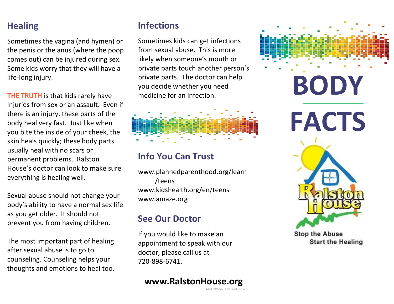## **Healing**

Sometimes the vagina (and hymen) or the penis or the anus (where the poop comes out) can be injured during sex. Some kids worry that they will have a life-long injury.

**THE TRUTH** is that kids rarely have injuries from sex or an assault. Even if there is an injury, these parts of the body heal very fast. Just like when you bite the inside of your cheek, the skin heals quickly; these body parts usually heal with no scars or permanent problems. Ralston House's doctor can look to make sure everything is healing well.

Sexual abuse should not change your body's ability to have a normal sex life as you get older. It should not prevent you from having children.

The most important part of healing after sexual abuse is to go to counseling. Counseling helps your thoughts and emotions to heal too.

# **Infections**

Sometimes kids can get infections from sexual abuse. This is more likely when someone's mouth or private parts touch another person's private parts. The doctor can help you decide whether you need medicine for an infection.

## **Info You Can Trust**

www.plannedparenthood.org/learn /teens www.kidshealth.org/en/teens www.amaze.org

## **See Our Doctor**

If you would like to make an appointment to speak with our doctor, please call us at 720-898-6741.

### **www.RalstonHouse.org**

Medical/Body Facts Brochure 12.19



**Start the Healing**